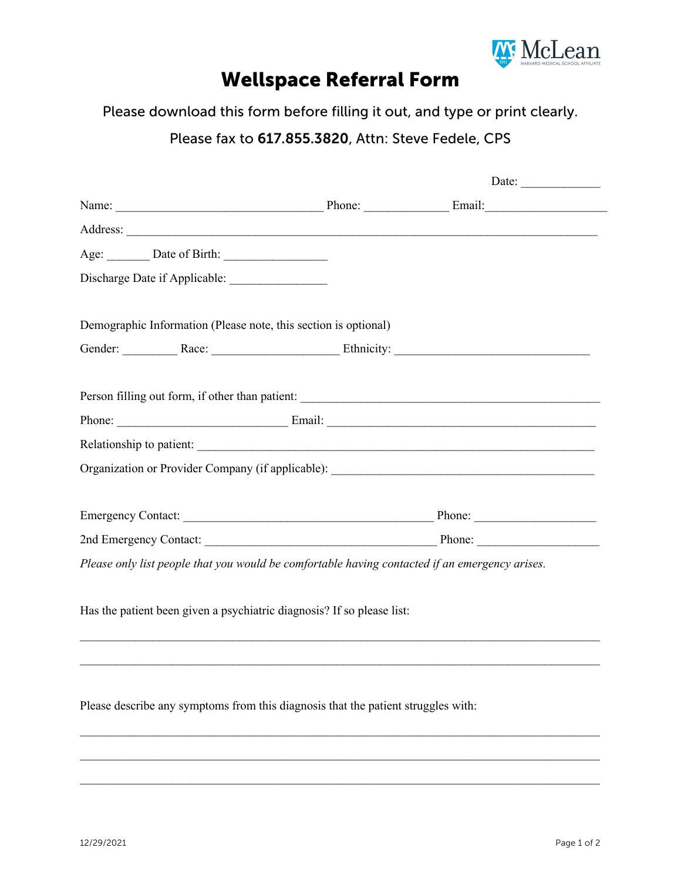

## Wellspace Referral Form

Please download this form before filling it out, and type or print clearly.

## Please fax to 617.855.3820, Attn: Steve Fedele, CPS

|                                                                                                                                                                                                                                | Date: $\qquad \qquad$ |
|--------------------------------------------------------------------------------------------------------------------------------------------------------------------------------------------------------------------------------|-----------------------|
| Name: Email: Email:                                                                                                                                                                                                            |                       |
|                                                                                                                                                                                                                                |                       |
|                                                                                                                                                                                                                                |                       |
|                                                                                                                                                                                                                                |                       |
| Demographic Information (Please note, this section is optional)                                                                                                                                                                |                       |
| Gender: Race: Race: Ethnicity: Ethnicity:                                                                                                                                                                                      |                       |
|                                                                                                                                                                                                                                |                       |
| Phone: Email: Email:                                                                                                                                                                                                           |                       |
| Relationship to patient: New York Changes and Security and Security and Security and Security and Security and Security and Security and Security and Security and Security and Security and Security and Security and Securit |                       |
|                                                                                                                                                                                                                                |                       |
|                                                                                                                                                                                                                                |                       |
|                                                                                                                                                                                                                                |                       |
|                                                                                                                                                                                                                                |                       |
| Please only list people that you would be comfortable having contacted if an emergency arises.                                                                                                                                 |                       |
| Has the patient been given a psychiatric diagnosis? If so please list:                                                                                                                                                         |                       |
|                                                                                                                                                                                                                                |                       |
| Please describe any symptoms from this diagnosis that the patient struggles with:                                                                                                                                              |                       |

 $\mathcal{L}_\mathcal{L} = \{ \mathcal{L}_\mathcal{L} = \{ \mathcal{L}_\mathcal{L} = \{ \mathcal{L}_\mathcal{L} = \{ \mathcal{L}_\mathcal{L} = \{ \mathcal{L}_\mathcal{L} = \{ \mathcal{L}_\mathcal{L} = \{ \mathcal{L}_\mathcal{L} = \{ \mathcal{L}_\mathcal{L} = \{ \mathcal{L}_\mathcal{L} = \{ \mathcal{L}_\mathcal{L} = \{ \mathcal{L}_\mathcal{L} = \{ \mathcal{L}_\mathcal{L} = \{ \mathcal{L}_\mathcal{L} = \{ \mathcal{L}_\mathcal{$